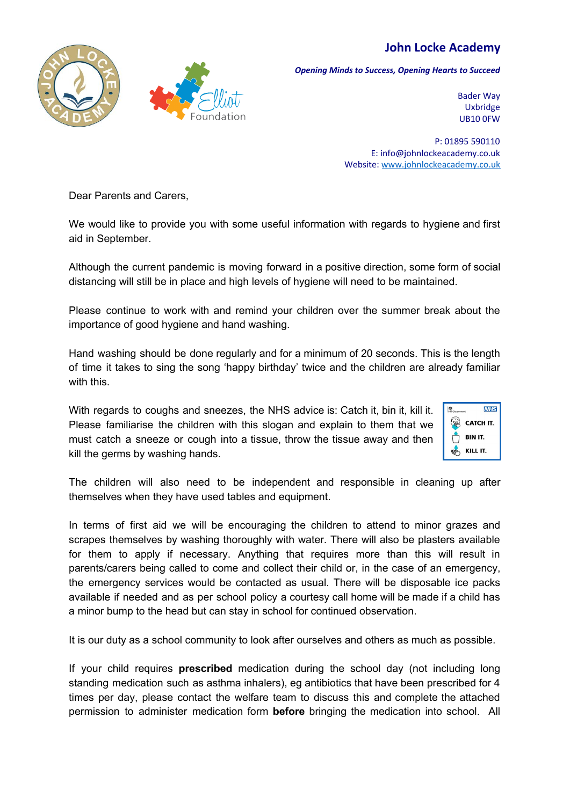## **John Locke Academy**



*Opening Minds to Success, Opening Hearts to Succeed*

Bader Way Uxbridge UB10 0FW

P: 01895 590110 E: info@johnlockeacademy.co.uk Website: [www.johnlockeacademy.co.uk](http://www.johnlockeacademy.co.uk/)

Dear Parents and Carers,

We would like to provide you with some useful information with regards to hygiene and first aid in September.

Although the current pandemic is moving forward in a positive direction, some form of social distancing will still be in place and high levels of hygiene will need to be maintained.

Please continue to work with and remind your children over the summer break about the importance of good hygiene and hand washing.

Hand washing should be done regularly and for a minimum of 20 seconds. This is the length of time it takes to sing the song 'happy birthday' twice and the children are already familiar with this.

With regards to coughs and sneezes, the NHS advice is: Catch it, bin it, kill it. Please familiarise the children with this slogan and explain to them that we must catch a sneeze or cough into a tissue, throw the tissue away and then kill the germs by washing hands.



The children will also need to be independent and responsible in cleaning up after themselves when they have used tables and equipment.

In terms of first aid we will be encouraging the children to attend to minor grazes and scrapes themselves by washing thoroughly with water. There will also be plasters available for them to apply if necessary. Anything that requires more than this will result in parents/carers being called to come and collect their child or, in the case of an emergency, the emergency services would be contacted as usual. There will be disposable ice packs available if needed and as per school policy a courtesy call home will be made if a child has a minor bump to the head but can stay in school for continued observation.

It is our duty as a school community to look after ourselves and others as much as possible.

If your child requires **prescribed** medication during the school day (not including long standing medication such as asthma inhalers), eg antibiotics that have been prescribed for 4 times per day, please contact the welfare team to discuss this and complete the attached permission to administer medication form **before** bringing the medication into school. All